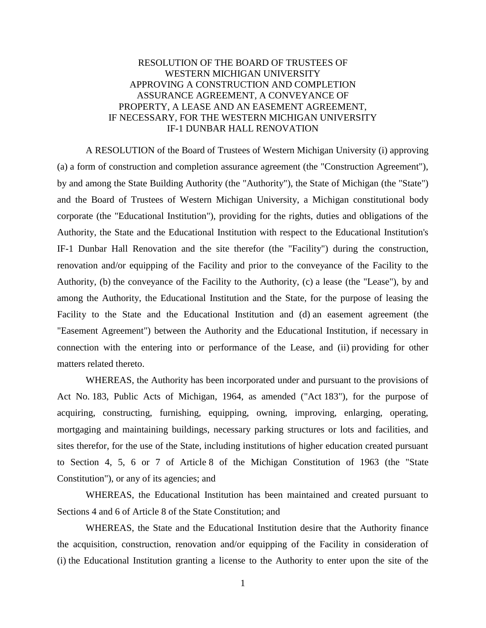## RESOLUTION OF THE BOARD OF TRUSTEES OF WESTERN MICHIGAN UNIVERSITY APPROVING A CONSTRUCTION AND COMPLETION ASSURANCE AGREEMENT, A CONVEYANCE OF PROPERTY, A LEASE AND AN EASEMENT AGREEMENT, IF NECESSARY, FOR THE WESTERN MICHIGAN UNIVERSITY IF-1 DUNBAR HALL RENOVATION

A RESOLUTION of the Board of Trustees of Western Michigan University (i) approving (a) a form of construction and completion assurance agreement (the "Construction Agreement"), by and among the State Building Authority (the "Authority"), the State of Michigan (the "State") and the Board of Trustees of Western Michigan University, a Michigan constitutional body corporate (the "Educational Institution"), providing for the rights, duties and obligations of the Authority, the State and the Educational Institution with respect to the Educational Institution's IF-1 Dunbar Hall Renovation and the site therefor (the "Facility") during the construction, renovation and/or equipping of the Facility and prior to the conveyance of the Facility to the Authority, (b) the conveyance of the Facility to the Authority, (c) a lease (the "Lease"), by and among the Authority, the Educational Institution and the State, for the purpose of leasing the Facility to the State and the Educational Institution and (d) an easement agreement (the "Easement Agreement") between the Authority and the Educational Institution, if necessary in connection with the entering into or performance of the Lease, and (ii) providing for other matters related thereto.

WHEREAS, the Authority has been incorporated under and pursuant to the provisions of Act No. 183, Public Acts of Michigan, 1964, as amended ("Act 183"), for the purpose of acquiring, constructing, furnishing, equipping, owning, improving, enlarging, operating, mortgaging and maintaining buildings, necessary parking structures or lots and facilities, and sites therefor, for the use of the State, including institutions of higher education created pursuant to Section 4, 5, 6 or 7 of Article 8 of the Michigan Constitution of 1963 (the "State Constitution"), or any of its agencies; and

WHEREAS, the Educational Institution has been maintained and created pursuant to Sections 4 and 6 of Article 8 of the State Constitution; and

WHEREAS, the State and the Educational Institution desire that the Authority finance the acquisition, construction, renovation and/or equipping of the Facility in consideration of (i) the Educational Institution granting a license to the Authority to enter upon the site of the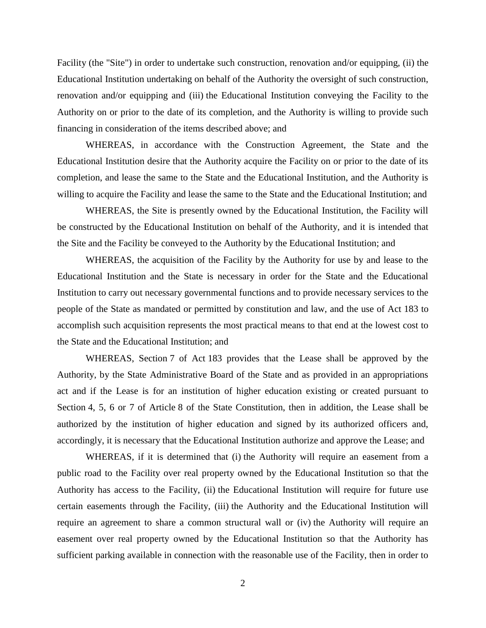Facility (the "Site") in order to undertake such construction, renovation and/or equipping, (ii) the Educational Institution undertaking on behalf of the Authority the oversight of such construction, renovation and/or equipping and (iii) the Educational Institution conveying the Facility to the Authority on or prior to the date of its completion, and the Authority is willing to provide such financing in consideration of the items described above; and

WHEREAS, in accordance with the Construction Agreement, the State and the Educational Institution desire that the Authority acquire the Facility on or prior to the date of its completion, and lease the same to the State and the Educational Institution, and the Authority is willing to acquire the Facility and lease the same to the State and the Educational Institution; and

WHEREAS, the Site is presently owned by the Educational Institution, the Facility will be constructed by the Educational Institution on behalf of the Authority, and it is intended that the Site and the Facility be conveyed to the Authority by the Educational Institution; and

WHEREAS, the acquisition of the Facility by the Authority for use by and lease to the Educational Institution and the State is necessary in order for the State and the Educational Institution to carry out necessary governmental functions and to provide necessary services to the people of the State as mandated or permitted by constitution and law, and the use of Act 183 to accomplish such acquisition represents the most practical means to that end at the lowest cost to the State and the Educational Institution; and

WHEREAS, Section 7 of Act 183 provides that the Lease shall be approved by the Authority, by the State Administrative Board of the State and as provided in an appropriations act and if the Lease is for an institution of higher education existing or created pursuant to Section 4, 5, 6 or 7 of Article 8 of the State Constitution, then in addition, the Lease shall be authorized by the institution of higher education and signed by its authorized officers and, accordingly, it is necessary that the Educational Institution authorize and approve the Lease; and

WHEREAS, if it is determined that (i) the Authority will require an easement from a public road to the Facility over real property owned by the Educational Institution so that the Authority has access to the Facility, (ii) the Educational Institution will require for future use certain easements through the Facility, (iii) the Authority and the Educational Institution will require an agreement to share a common structural wall or (iv) the Authority will require an easement over real property owned by the Educational Institution so that the Authority has sufficient parking available in connection with the reasonable use of the Facility, then in order to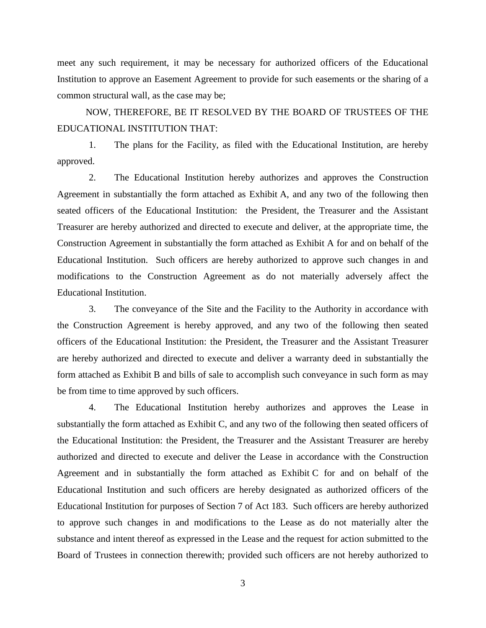meet any such requirement, it may be necessary for authorized officers of the Educational Institution to approve an Easement Agreement to provide for such easements or the sharing of a common structural wall, as the case may be;

NOW, THEREFORE, BE IT RESOLVED BY THE BOARD OF TRUSTEES OF THE EDUCATIONAL INSTITUTION THAT:

1. The plans for the Facility, as filed with the Educational Institution, are hereby approved.

2. The Educational Institution hereby authorizes and approves the Construction Agreement in substantially the form attached as Exhibit A, and any two of the following then seated officers of the Educational Institution: the President, the Treasurer and the Assistant Treasurer are hereby authorized and directed to execute and deliver, at the appropriate time, the Construction Agreement in substantially the form attached as Exhibit A for and on behalf of the Educational Institution. Such officers are hereby authorized to approve such changes in and modifications to the Construction Agreement as do not materially adversely affect the Educational Institution.

3. The conveyance of the Site and the Facility to the Authority in accordance with the Construction Agreement is hereby approved, and any two of the following then seated officers of the Educational Institution: the President, the Treasurer and the Assistant Treasurer are hereby authorized and directed to execute and deliver a warranty deed in substantially the form attached as Exhibit B and bills of sale to accomplish such conveyance in such form as may be from time to time approved by such officers.

4. The Educational Institution hereby authorizes and approves the Lease in substantially the form attached as Exhibit C, and any two of the following then seated officers of the Educational Institution: the President, the Treasurer and the Assistant Treasurer are hereby authorized and directed to execute and deliver the Lease in accordance with the Construction Agreement and in substantially the form attached as Exhibit C for and on behalf of the Educational Institution and such officers are hereby designated as authorized officers of the Educational Institution for purposes of Section 7 of Act 183. Such officers are hereby authorized to approve such changes in and modifications to the Lease as do not materially alter the substance and intent thereof as expressed in the Lease and the request for action submitted to the Board of Trustees in connection therewith; provided such officers are not hereby authorized to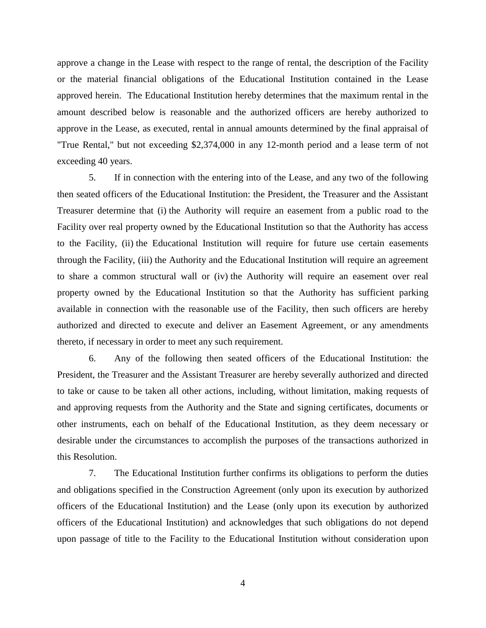approve a change in the Lease with respect to the range of rental, the description of the Facility or the material financial obligations of the Educational Institution contained in the Lease approved herein. The Educational Institution hereby determines that the maximum rental in the amount described below is reasonable and the authorized officers are hereby authorized to approve in the Lease, as executed, rental in annual amounts determined by the final appraisal of "True Rental," but not exceeding \$2,374,000 in any 12-month period and a lease term of not exceeding 40 years.

5. If in connection with the entering into of the Lease, and any two of the following then seated officers of the Educational Institution: the President, the Treasurer and the Assistant Treasurer determine that (i) the Authority will require an easement from a public road to the Facility over real property owned by the Educational Institution so that the Authority has access to the Facility, (ii) the Educational Institution will require for future use certain easements through the Facility, (iii) the Authority and the Educational Institution will require an agreement to share a common structural wall or (iv) the Authority will require an easement over real property owned by the Educational Institution so that the Authority has sufficient parking available in connection with the reasonable use of the Facility, then such officers are hereby authorized and directed to execute and deliver an Easement Agreement, or any amendments thereto, if necessary in order to meet any such requirement.

6. Any of the following then seated officers of the Educational Institution: the President, the Treasurer and the Assistant Treasurer are hereby severally authorized and directed to take or cause to be taken all other actions, including, without limitation, making requests of and approving requests from the Authority and the State and signing certificates, documents or other instruments, each on behalf of the Educational Institution, as they deem necessary or desirable under the circumstances to accomplish the purposes of the transactions authorized in this Resolution.

7. The Educational Institution further confirms its obligations to perform the duties and obligations specified in the Construction Agreement (only upon its execution by authorized officers of the Educational Institution) and the Lease (only upon its execution by authorized officers of the Educational Institution) and acknowledges that such obligations do not depend upon passage of title to the Facility to the Educational Institution without consideration upon

4